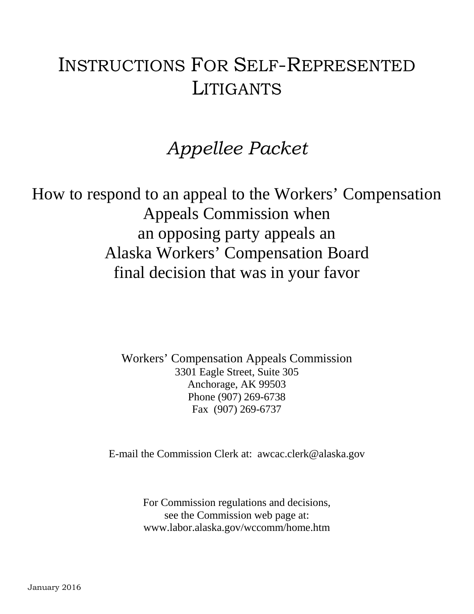# INSTRUCTIONS FOR SELF-REPRESENTED LITIGANTS

# *Appellee Packet*

How to respond to an appeal to the Workers' Compensation Appeals Commission when an opposing party appeals an Alaska Workers' Compensation Board final decision that was in your favor

> Workers' Compensation Appeals Commission 3301 Eagle Street, Suite 305 Anchorage, AK 99503 Phone (907) 269-6738 Fax (907) 269-6737

E-mail the Commission Clerk at: awcac.clerk@alaska.gov

For Commission regulations and decisions, see the Commission web page at: www.labor.alaska.gov/wccomm/home.htm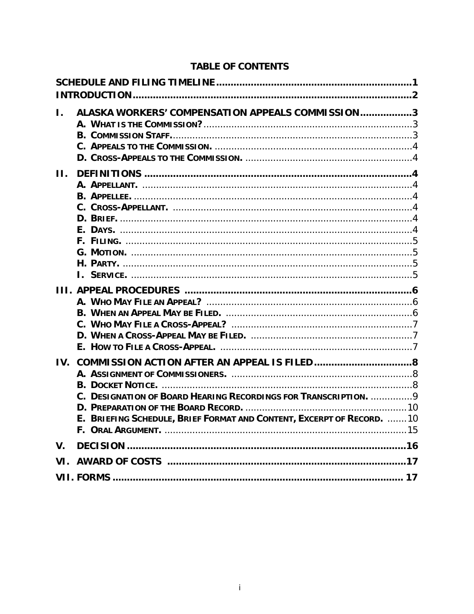# **TABLE OF CONTENTS**

| L.          | ALASKA WORKERS' COMPENSATION APPEALS COMMISSION3                      |  |
|-------------|-----------------------------------------------------------------------|--|
|             |                                                                       |  |
|             |                                                                       |  |
|             |                                                                       |  |
| Н.          |                                                                       |  |
|             |                                                                       |  |
|             |                                                                       |  |
|             |                                                                       |  |
|             |                                                                       |  |
|             |                                                                       |  |
|             |                                                                       |  |
|             |                                                                       |  |
|             |                                                                       |  |
|             |                                                                       |  |
|             |                                                                       |  |
|             |                                                                       |  |
|             |                                                                       |  |
|             |                                                                       |  |
|             |                                                                       |  |
|             |                                                                       |  |
|             |                                                                       |  |
|             |                                                                       |  |
|             |                                                                       |  |
|             | C. DESIGNATION OF BOARD HEARING RECORDINGS FOR TRANSCRIPTION. 9       |  |
|             | E. BRIEFING SCHEDULE, BRIEF FORMAT AND CONTENT, EXCERPT OF RECORD. 10 |  |
|             |                                                                       |  |
| $V_{\cdot}$ |                                                                       |  |
| VI.         |                                                                       |  |
|             |                                                                       |  |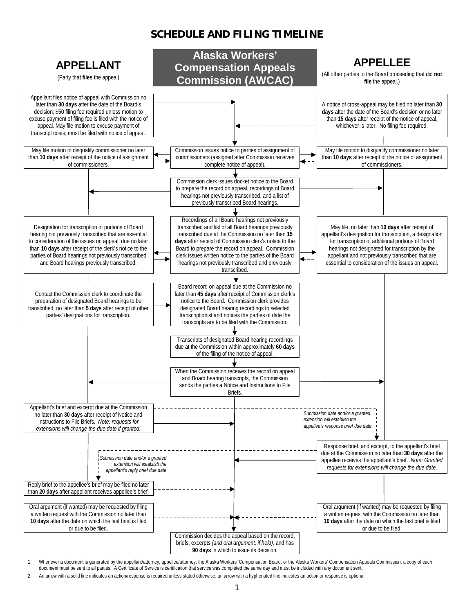#### **SCHEDULE AND FILING TIMELINE**



1. Whenever a document is generated by the appellant/attorney, appellee/attorney, the Alaska Workers' Compensation Board, or the Alaska Workers' Compensation Appeals Commission, a copy of each document must be sent to all parties. A Certificate of Service is certification that service was completed the same day and must be included with any document sent.

2. An arrow with a solid line indicates an action/response is required unless stated otherwise; an arrow with a hyphenated line indicates an action or response is optional.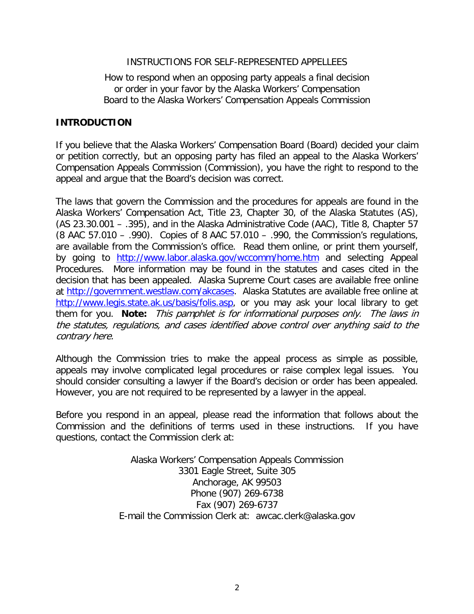#### INSTRUCTIONS FOR SELF-REPRESENTED APPELLEES

#### How to respond when an opposing party appeals a final decision or order in your favor by the Alaska Workers' Compensation Board to the Alaska Workers' Compensation Appeals Commission

#### **INTRODUCTION**

If you believe that the Alaska Workers' Compensation Board (Board) decided your claim or petition correctly, but an opposing party has filed an appeal to the Alaska Workers' Compensation Appeals Commission (Commission), you have the right to respond to the appeal and argue that the Board's decision was correct.

The laws that govern the Commission and the procedures for appeals are found in the Alaska Workers' Compensation Act, Title 23, Chapter 30, of the Alaska Statutes (AS), (AS 23.30.001 – .395), and in the Alaska Administrative Code (AAC), Title 8, Chapter 57 (8 AAC 57.010 – .990). Copies of 8 AAC 57.010 – .990, the Commission's regulations, are available from the Commission's office. Read them online, or print them yourself, by going to <http://www.labor.alaska.gov/wccomm/home.htm> and selecting Appeal Procedures. More information may be found in the statutes and cases cited in the decision that has been appealed. Alaska Supreme Court cases are available free online at [http://government.westlaw.com/akcases.](http://government.westlaw.com/akcases) Alaska Statutes are available free online at [http://www.legis.state.ak.us/basis/folis.asp,](http://www.legis.state.ak.us/basis/folis.asp) or you may ask your local library to get them for you. **Note:** This pamphlet is for informational purposes only. The laws in the statutes, regulations, and cases identified above control over anything said to the contrary here.

Although the Commission tries to make the appeal process as simple as possible, appeals may involve complicated legal procedures or raise complex legal issues. You should consider consulting a lawyer if the Board's decision or order has been appealed. However, you are not required to be represented by a lawyer in the appeal.

Before you respond in an appeal, please read the information that follows about the Commission and the definitions of terms used in these instructions. If you have questions, contact the Commission clerk at:

> Alaska Workers' Compensation Appeals Commission 3301 Eagle Street, Suite 305 Anchorage, AK 99503 Phone (907) 269-6738 Fax (907) 269-6737 E-mail the Commission Clerk at: awcac.clerk@alaska.gov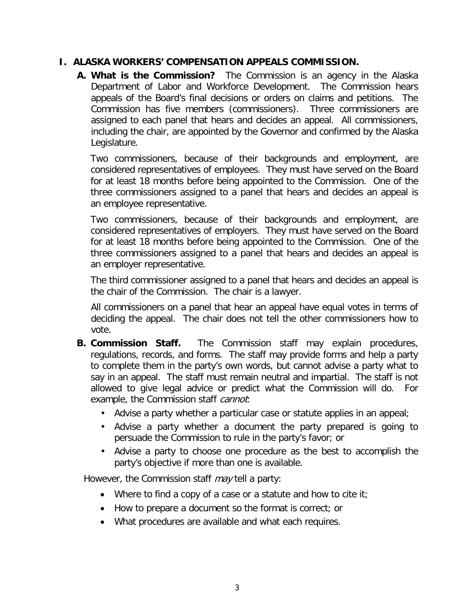**A. What is the Commission?** The Commission is an agency in the Alaska Department of Labor and Workforce Development. The Commission hears appeals of the Board's final decisions or orders on claims and petitions. The Commission has five members (commissioners). Three commissioners are assigned to each panel that hears and decides an appeal. All commissioners, including the chair, are appointed by the Governor and confirmed by the Alaska Legislature.

Two commissioners, because of their backgrounds and employment, are considered representatives of employees. They must have served on the Board for at least 18 months before being appointed to the Commission. One of the three commissioners assigned to a panel that hears and decides an appeal is an employee representative.

Two commissioners, because of their backgrounds and employment, are considered representatives of employers. They must have served on the Board for at least 18 months before being appointed to the Commission. One of the three commissioners assigned to a panel that hears and decides an appeal is an employer representative.

The third commissioner assigned to a panel that hears and decides an appeal is the chair of the Commission. The chair is a lawyer.

All commissioners on a panel that hear an appeal have equal votes in terms of deciding the appeal. The chair does not tell the other commissioners how to vote.

- **B. Commission Staff.** The Commission staff may explain procedures, regulations, records, and forms. The staff may provide forms and help a party to complete them in the party's own words, but cannot advise a party what to say in an appeal. The staff must remain neutral and impartial. The staff is not allowed to give legal advice or predict what the Commission will do. For example, the Commission staff *cannot*:
	- Advise a party whether a particular case or statute applies in an appeal;
	- Advise a party whether a document the party prepared is going to persuade the Commission to rule in the party's favor; or
	- Advise a party to choose one procedure as the best to accomplish the party's objective if more than one is available.

However, the Commission staff *may* tell a party:

- Where to find a copy of a case or a statute and how to cite it;
- How to prepare a document so the format is correct; or
- What procedures are available and what each requires.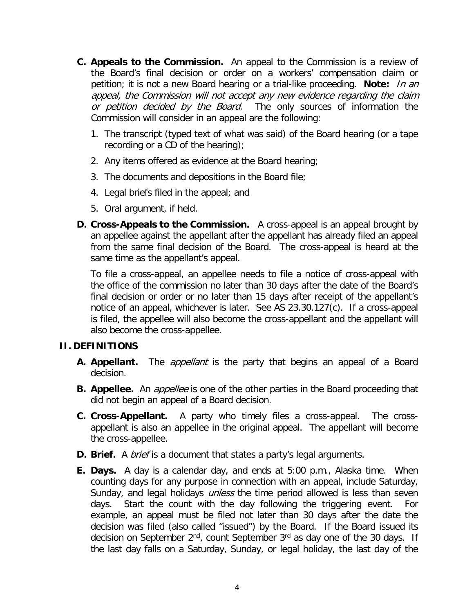- **C. Appeals to the Commission.** An appeal to the Commission is a review of the Board's final decision or order on a workers' compensation claim or petition; it is not a new Board hearing or a trial-like proceeding. **Note:** In an appeal, the Commission will not accept any new evidence regarding the claim or petition decided by the Board. The only sources of information the Commission will consider in an appeal are the following:
	- 1. The transcript (typed text of what was said) of the Board hearing (or a tape recording or a CD of the hearing);
	- 2. Any items offered as evidence at the Board hearing;
	- 3. The documents and depositions in the Board file;
	- 4. Legal briefs filed in the appeal; and
	- 5. Oral argument, if held.
- **D. Cross-Appeals to the Commission.** A cross-appeal is an appeal brought by an appellee against the appellant after the appellant has already filed an appeal from the same final decision of the Board. The cross-appeal is heard at the same time as the appellant's appeal.

To file a cross-appeal, an appellee needs to file a notice of cross-appeal with the office of the commission no later than 30 days after the date of the Board's final decision or order or no later than 15 days after receipt of the appellant's notice of an appeal, whichever is later. See AS 23.30.127(c). If a cross-appeal is filed, the appellee will also become the cross-appellant and the appellant will also become the cross-appellee.

#### **II. DEFINITIONS**

- **A. Appellant.** The appellant is the party that begins an appeal of a Board decision.
- **B.** Appellee. An *appellee* is one of the other parties in the Board proceeding that did not begin an appeal of a Board decision.
- **C. Cross-Appellant.** A party who timely files a cross-appeal. The crossappellant is also an appellee in the original appeal. The appellant will become the cross-appellee.
- **D. Brief.** A *brief* is a document that states a party's legal arguments.
- **E. Days.** A day is a calendar day, and ends at 5:00 p.m., Alaska time. When counting days for any purpose in connection with an appeal, include Saturday, Sunday, and legal holidays *unless* the time period allowed is less than seven days. Start the count with the day following the triggering event. For example, an appeal must be filed not later than 30 days after the date the decision was filed (also called "issued") by the Board. If the Board issued its decision on September 2<sup>nd</sup>, count September 3<sup>rd</sup> as day one of the 30 days. If the last day falls on a Saturday, Sunday, or legal holiday, the last day of the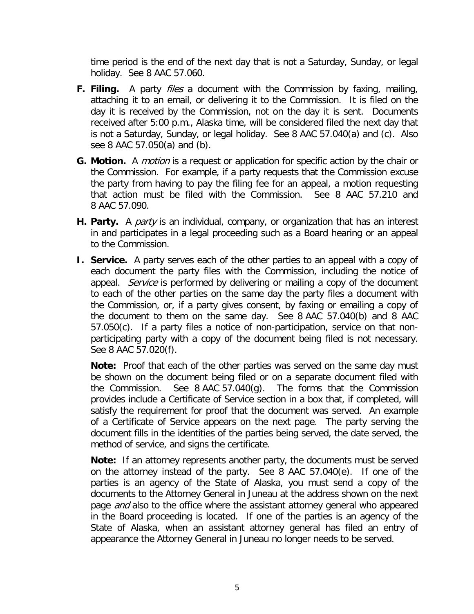time period is the end of the next day that is not a Saturday, Sunday, or legal holiday. See 8 AAC 57.060.

- **F.** Filing. A party *files* a document with the Commission by faxing, mailing, attaching it to an email, or delivering it to the Commission. It is filed on the day it is received by the Commission, not on the day it is sent. Documents received after 5:00 p.m., Alaska time, will be considered filed the next day that is not a Saturday, Sunday, or legal holiday. See 8 AAC 57.040(a) and (c). Also see 8 AAC 57.050(a) and (b).
- **G. Motion.** A motion is a request or application for specific action by the chair or the Commission. For example, if a party requests that the Commission excuse the party from having to pay the filing fee for an appeal, a motion requesting that action must be filed with the Commission. See 8 AAC 57.210 and 8 AAC 57.090.
- **H. Party.** A party is an individual, company, or organization that has an interest in and participates in a legal proceeding such as a Board hearing or an appeal to the Commission.
- <span id="page-6-0"></span>**I. Service.** A party serves each of the other parties to an appeal with a copy of each document the party files with the Commission, including the notice of appeal. Service is performed by delivering or mailing a copy of the document to each of the other parties on the same day the party files a document with the Commission, or, if a party gives consent, by faxing or emailing a copy of the document to them on the same day. See 8 AAC 57.040(b) and 8 AAC 57.050(c). If a party files a notice of non-participation, service on that nonparticipating party with a copy of the document being filed is not necessary. See 8 AAC 57.020(f).

**Note:** Proof that each of the other parties was served on the same day must be shown on the document being filed or on a separate document filed with the Commission. See 8 AAC 57.040(g). The forms that the Commission provides include a Certificate of Service section in a box that, if completed, will satisfy the requirement for proof that the document was served. An example of a Certificate of Service appears on the next page. The party serving the document fills in the identities of the parties being served, the date served, the method of service, and signs the certificate.

**Note:** If an attorney represents another party, the documents must be served on the attorney instead of the party. See 8 AAC 57.040(e). If one of the parties is an agency of the State of Alaska, you must send a copy of the documents to the Attorney General in Juneau at the address shown on the next page *and* also to the office where the assistant attorney general who appeared in the Board proceeding is located. If one of the parties is an agency of the State of Alaska, when an assistant attorney general has filed an entry of appearance the Attorney General in Juneau no longer needs to be served.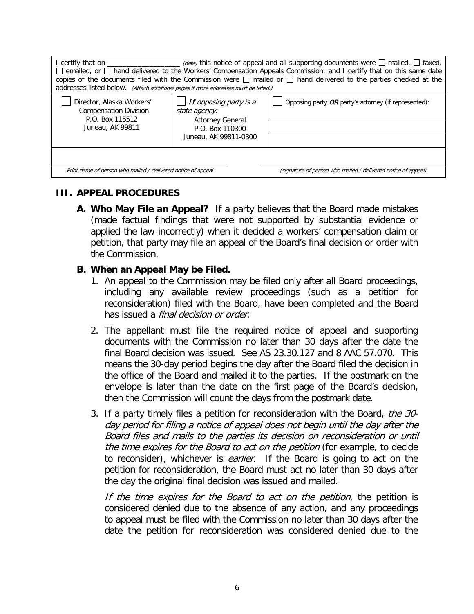| addresses listed below. (Attach additional pages if more addresses must be listed.)                                           |                                                                                                                       | I certify that on ____________________ (date) this notice of appeal and all supporting documents were $\Box$ mailed, $\Box$ faxed,<br>□ emailed, or □ hand delivered to the Workers' Compensation Appeals Commission; and I certify that on this same date<br>copies of the documents filed with the Commission were $\Box$ mailed or $\Box$ hand delivered to the parties checked at the |  |  |  |
|-------------------------------------------------------------------------------------------------------------------------------|-----------------------------------------------------------------------------------------------------------------------|-------------------------------------------------------------------------------------------------------------------------------------------------------------------------------------------------------------------------------------------------------------------------------------------------------------------------------------------------------------------------------------------|--|--|--|
| Director, Alaska Workers'<br><b>Compensation Division</b><br>P.O. Box 115512<br>Juneau, AK 99811                              | $\Box$ If opposing party is a<br>state agency:<br><b>Attorney General</b><br>P.O. Box 110300<br>Juneau, AK 99811-0300 | Opposing party $OR$ party's attorney (if represented):                                                                                                                                                                                                                                                                                                                                    |  |  |  |
| Print name of person who mailed / delivered notice of appeal<br>(signature of person who mailed / delivered notice of appeal) |                                                                                                                       |                                                                                                                                                                                                                                                                                                                                                                                           |  |  |  |

### **III. APPEAL PROCEDURES**

**A. Who May File an Appeal?** If a party believes that the Board made mistakes (made factual findings that were not supported by substantial evidence or applied the law incorrectly) when it decided a workers' compensation claim or petition, that party may file an appeal of the Board's final decision or order with the Commission.

#### **B. When an Appeal May be Filed.**

- 1. An appeal to the Commission may be filed only after all Board proceedings, including any available review proceedings (such as a petition for reconsideration) filed with the Board, have been completed and the Board has issued a *final decision or order*.
- 2. The appellant must file the required notice of appeal and supporting documents with the Commission no later than 30 days after the date the final Board decision was issued. See AS 23.30.127 and 8 AAC 57.070. This means the 30-day period begins the day after the Board filed the decision in the office of the Board and mailed it to the parties. If the postmark on the envelope is later than the date on the first page of the Board's decision, then the Commission will count the days from the postmark date.
- 3. If a party timely files a petition for reconsideration with the Board, the 30day period for filing a notice of appeal does not begin until the day after the Board files and mails to the parties its decision on reconsideration or until the time expires for the Board to act on the petition (for example, to decide to reconsider), whichever is *earlier*. If the Board is going to act on the petition for reconsideration, the Board must act no later than 30 days after the day the original final decision was issued and mailed.

If the time expires for the Board to act on the petition, the petition is considered denied due to the absence of any action, and any proceedings to appeal must be filed with the Commission no later than 30 days after the date the petition for reconsideration was considered denied due to the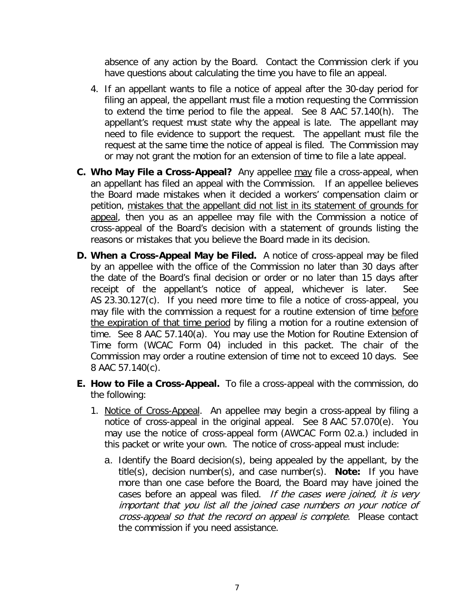absence of any action by the Board. Contact the Commission clerk if you have questions about calculating the time you have to file an appeal.

- 4. If an appellant wants to file a notice of appeal after the 30-day period for filing an appeal, the appellant must file a motion requesting the Commission to extend the time period to file the appeal. See 8 AAC 57.140(h). The appellant's request must state why the appeal is late. The appellant may need to file evidence to support the request. The appellant must file the request at the same time the notice of appeal is filed. The Commission may or may not grant the motion for an extension of time to file a late appeal.
- **C. Who May File a Cross-Appeal?** Any appellee may file a cross-appeal, when an appellant has filed an appeal with the Commission. If an appellee believes the Board made mistakes when it decided a workers' compensation claim or petition, mistakes that the appellant did not list in its statement of grounds for appeal, then you as an appellee may file with the Commission a notice of cross-appeal of the Board's decision with a statement of grounds listing the reasons or mistakes that you believe the Board made in its decision.
- **D. When a Cross-Appeal May be Filed.** A notice of cross-appeal may be filed by an appellee with the office of the Commission no later than 30 days after the date of the Board's final decision or order or no later than 15 days after receipt of the appellant's notice of appeal, whichever is later. See AS 23.30.127(c). If you need more time to file a notice of cross-appeal, you may file with the commission a request for a routine extension of time before the expiration of that time period by filing a motion for a routine extension of time. See 8 AAC 57.140(a). You may use the Motion for Routine Extension of Time form (WCAC Form 04) included in this packet. The chair of the Commission may order a routine extension of time not to exceed 10 days. See 8 AAC 57.140(c).
- **E. How to File a Cross-Appeal.** To file a cross-appeal with the commission, do the following:
	- 1. Notice of Cross-Appeal. An appellee may begin a cross-appeal by filing a notice of cross-appeal in the original appeal. See 8 AAC 57.070(e). You may use the notice of cross-appeal form (AWCAC Form 02.a.) included in this packet or write your own. The notice of cross-appeal must include:
		- a. Identify the Board decision(s), being appealed by the appellant, by the title(s), decision number(s), and case number(s). **Note:** If you have more than one case before the Board, the Board may have joined the cases before an appeal was filed. If the cases were joined, it is very important that you list all the joined case numbers on your notice of cross-appeal so that the record on appeal is complete. Please contact the commission if you need assistance.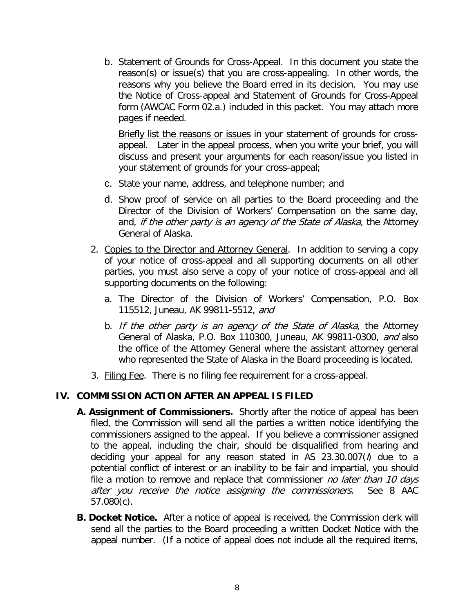b. Statement of Grounds for Cross-Appeal. In this document you state the reason(s) or issue(s) that you are cross-appealing. In other words, the reasons why you believe the Board erred in its decision. You may use the Notice of Cross-appeal and Statement of Grounds for Cross-Appeal form (AWCAC Form 02.a.) included in this packet. You may attach more pages if needed.

Briefly list the reasons or issues in your statement of grounds for crossappeal. Later in the appeal process, when you write your brief, you will discuss and present your arguments for each reason/issue you listed in your statement of grounds for your cross-appeal;

- c. State your name, address, and telephone number; and
- d. Show proof of service on all parties to the Board proceeding and the Director of the Division of Workers' Compensation on the same day, and, if the other party is an agency of the State of Alaska, the Attorney General of Alaska.
- 2. Copies to the Director and Attorney General. In addition to serving a copy of your notice of cross-appeal and all supporting documents on all other parties, you must also serve a copy of your notice of cross-appeal and all supporting documents on the following:
	- a. The Director of the Division of Workers' Compensation, P.O. Box 115512, Juneau, AK 99811-5512, and
	- b. If the other party is an agency of the State of Alaska, the Attorney General of Alaska, P.O. Box 110300, Juneau, AK 99811-0300, and also the office of the Attorney General where the assistant attorney general who represented the State of Alaska in the Board proceeding is located.
- 3. Filing Fee. There is no filing fee requirement for a cross-appeal.

#### **IV. COMMISSION ACTION AFTER AN APPEAL IS FILED**

- **A. Assignment of Commissioners.** Shortly after the notice of appeal has been filed, the Commission will send all the parties a written notice identifying the commissioners assigned to the appeal. If you believe a commissioner assigned to the appeal, including the chair, should be disqualified from hearing and deciding your appeal for any reason stated in AS  $23.30.007($ *h* due to a potential conflict of interest or an inability to be fair and impartial, you should file a motion to remove and replace that commissioner no later than 10 days after you receive the notice assigning the commissioners. See 8 AAC 57.080(c).
- **B. Docket Notice.** After a notice of appeal is received, the Commission clerk will send all the parties to the Board proceeding a written Docket Notice with the appeal number. (If a notice of appeal does not include all the required items,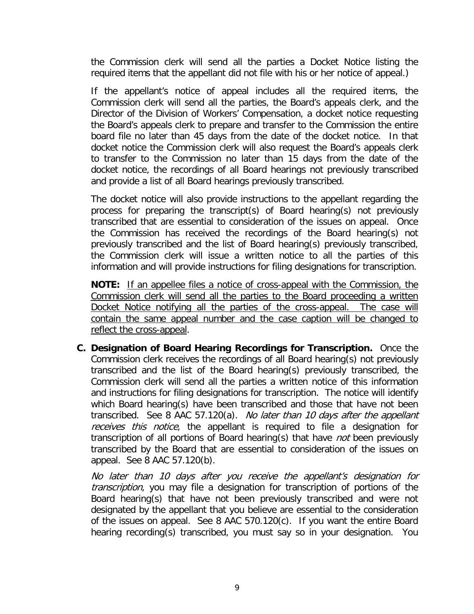the Commission clerk will send all the parties a Docket Notice listing the required items that the appellant did not file with his or her notice of appeal.)

If the appellant's notice of appeal includes all the required items, the Commission clerk will send all the parties, the Board's appeals clerk, and the Director of the Division of Workers' Compensation, a docket notice requesting the Board's appeals clerk to prepare and transfer to the Commission the entire board file no later than 45 days from the date of the docket notice. In that docket notice the Commission clerk will also request the Board's appeals clerk to transfer to the Commission no later than 15 days from the date of the docket notice, the recordings of all Board hearings not previously transcribed and provide a list of all Board hearings previously transcribed.

The docket notice will also provide instructions to the appellant regarding the process for preparing the transcript(s) of Board hearing(s) not previously transcribed that are essential to consideration of the issues on appeal. Once the Commission has received the recordings of the Board hearing(s) not previously transcribed and the list of Board hearing(s) previously transcribed, the Commission clerk will issue a written notice to all the parties of this information and will provide instructions for filing designations for transcription.

**NOTE:** If an appellee files a notice of cross-appeal with the Commission, the Commission clerk will send all the parties to the Board proceeding a written Docket Notice notifying all the parties of the cross-appeal. The case will contain the same appeal number and the case caption will be changed to reflect the cross-appeal.

**C. Designation of Board Hearing Recordings for Transcription.** Once the Commission clerk receives the recordings of all Board hearing(s) not previously transcribed and the list of the Board hearing(s) previously transcribed, the Commission clerk will send all the parties a written notice of this information and instructions for filing designations for transcription. The notice will identify which Board hearing(s) have been transcribed and those that have not been transcribed. See 8 AAC 57.120(a). No later than 10 days after the appellant receives this notice, the appellant is required to file a designation for transcription of all portions of Board hearing(s) that have *not* been previously transcribed by the Board that are essential to consideration of the issues on appeal. See 8 AAC 57.120(b).

No later than 10 days after you receive the appellant's designation for transcription, you may file a designation for transcription of portions of the Board hearing(s) that have not been previously transcribed and were not designated by the appellant that you believe are essential to the consideration of the issues on appeal. See 8 AAC 570.120(c). If you want the entire Board hearing recording(s) transcribed, you must say so in your designation. You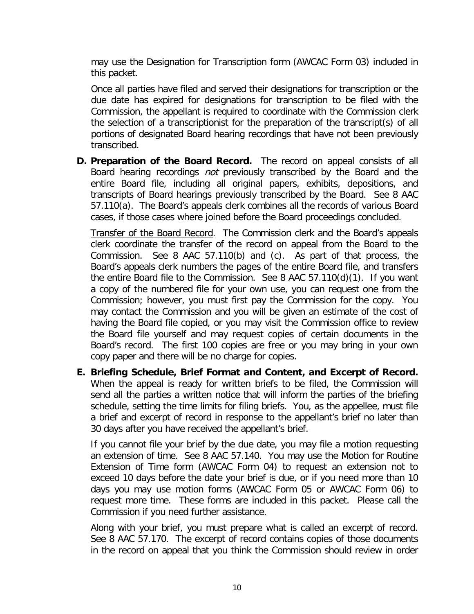may use the Designation for Transcription form (AWCAC Form 03) included in this packet.

<span id="page-11-0"></span>Once all parties have filed and served their designations for transcription or the due date has expired for designations for transcription to be filed with the Commission, the appellant is required to coordinate with the Commission clerk the selection of a transcriptionist for the preparation of the transcript(s) of all portions of designated Board hearing recordings that have not been previously transcribed.

**D. Preparation of the Board Record.** The record on appeal consists of all Board hearing recordings not previously transcribed by the Board and the entire Board file, including all original papers, exhibits, depositions, and transcripts of Board hearings previously transcribed by the Board. See 8 AAC 57.110(a). The Board's appeals clerk combines all the records of various Board cases, if those cases where joined before the Board proceedings concluded.

Transfer of the Board Record. The Commission clerk and the Board's appeals clerk coordinate the transfer of the record on appeal from the Board to the Commission. See 8 AAC 57.110(b) and (c). As part of that process, the Board's appeals clerk numbers the pages of the entire Board file, and transfers the entire Board file to the Commission. See 8 AAC 57.110(d)(1). If you want a copy of the numbered file for your own use, you can request one from the Commission; however, you must first pay the Commission for the copy. You may contact the Commission and you will be given an estimate of the cost of having the Board file copied, or you may visit the Commission office to review the Board file yourself and may request copies of certain documents in the Board's record. The first 100 copies are free or you may bring in your own copy paper and there will be no charge for copies.

**E. Briefing Schedule, Brief Format and Content, and Excerpt of Record.**  When the appeal is ready for written briefs to be filed, the Commission will send all the parties a written notice that will inform the parties of the briefing schedule, setting the time limits for filing briefs. You, as the appellee, must file a brief and excerpt of record in response to the appellant's brief no later than 30 days after you have received the appellant's brief.

<span id="page-11-1"></span>If you cannot file your brief by the due date, you may file a motion requesting an extension of time. See 8 AAC 57.140. You may use the Motion for Routine Extension of Time form (AWCAC Form 04) to request an extension not to exceed 10 days before the date your brief is due, or if you need more than 10 days you may use motion forms (AWCAC Form 05 or AWCAC Form 06) to request more time. These forms are included in this packet. Please call the Commission if you need further assistance.

Along with your brief, you must prepare what is called an excerpt of record. See 8 AAC 57.170. The excerpt of record contains copies of those documents in the record on appeal that you think the Commission should review in order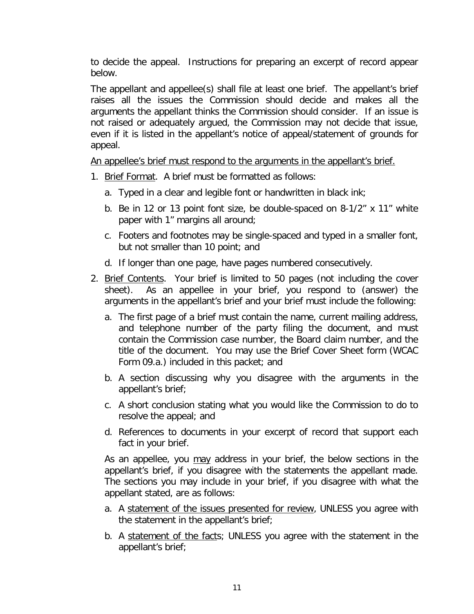to decide the appeal. Instructions for preparing an excerpt of record appear below.

The appellant and appellee(s) shall file at least one brief. The appellant's brief raises all the issues the Commission should decide and makes all the arguments the appellant thinks the Commission should consider. If an issue is not raised or adequately argued, the Commission may not decide that issue, even if it is listed in the appellant's notice of appeal/statement of grounds for appeal.

An appellee's brief must respond to the arguments in the appellant's brief.

- 1. Brief Format. A brief must be formatted as follows:
	- a. Typed in a clear and legible font or handwritten in black ink;
	- b. Be in 12 or 13 point font size, be double-spaced on 8-1/2" x 11" white paper with 1" margins all around;
	- c. Footers and footnotes may be single-spaced and typed in a smaller font, but not smaller than 10 point; and
	- d. If longer than one page, have pages numbered consecutively.
- 2. Brief Contents. Your brief is limited to 50 pages (not including the cover sheet). As an appellee in your brief, you respond to (answer) the arguments in the appellant's brief and your brief must include the following:
	- a. The first page of a brief must contain the name, current mailing address, and telephone number of the party filing the document, and must contain the Commission case number, the Board claim number, and the title of the document. You may use the Brief Cover Sheet form (WCAC Form 09.a.) included in this packet; and
	- b. A section discussing why you disagree with the arguments in the appellant's brief;
	- c. A short conclusion stating what you would like the Commission to do to resolve the appeal; and
	- d. References to documents in your excerpt of record that support each fact in your brief.

As an appellee, you may address in your brief, the below sections in the appellant's brief, if you disagree with the statements the appellant made. The sections you may include in your brief, if you disagree with what the appellant stated, are as follows:

- a. A statement of the issues presented for review, UNLESS you agree with the statement in the appellant's brief;
- b. A statement of the facts; UNLESS you agree with the statement in the appellant's brief;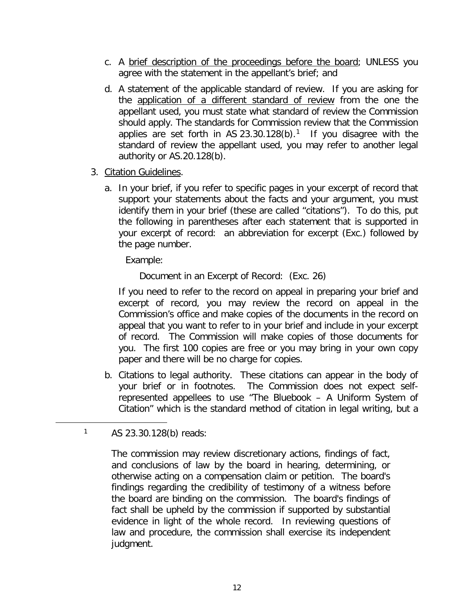- c. A brief description of the proceedings before the board; UNLESS you agree with the statement in the appellant's brief; and
- d. A statement of the applicable standard of review. If you are asking for the application of a different standard of review from the one the appellant used, you must state what standard of review the Commission should apply. The standards for Commission review that the Commission applies are set forth in AS 23.30.[1](#page-13-0)28(b).<sup>1</sup> If you disagree with the standard of review the appellant used, you may refer to another legal authority or AS.20.128(b).
- 3. Citation Guidelines.
	- a. In your brief, if you refer to specific pages in your excerpt of record that support your statements about the facts and your argument, you must identify them in your brief (these are called "citations"). To do this, put the following in parentheses after each statement that is supported in your excerpt of record: an abbreviation for excerpt (Exc.) followed by the page number.

Example:

Document in an Excerpt of Record: (Exc. 26)

If you need to refer to the record on appeal in preparing your brief and excerpt of record, you may review the record on appeal in the Commission's office and make copies of the documents in the record on appeal that you want to refer to in your brief and include in your excerpt of record. The Commission will make copies of those documents for you. The first 100 copies are free or you may bring in your own copy paper and there will be no charge for copies.

b. Citations to legal authority. These citations can appear in the body of your brief or in footnotes. The Commission does not expect selfrepresented appellees to use "The Bluebook – A Uniform System of Citation" which is the standard method of citation in legal writing, but a

<span id="page-13-0"></span> $\overline{a}$ 

<sup>1</sup> AS 23.30.128(b) reads:

The commission may review discretionary actions, findings of fact, and conclusions of law by the board in hearing, determining, or otherwise acting on a compensation claim or petition. The board's findings regarding the credibility of testimony of a witness before the board are binding on the commission. The board's findings of fact shall be upheld by the commission if supported by substantial evidence in light of the whole record. In reviewing questions of law and procedure, the commission shall exercise its independent judgment.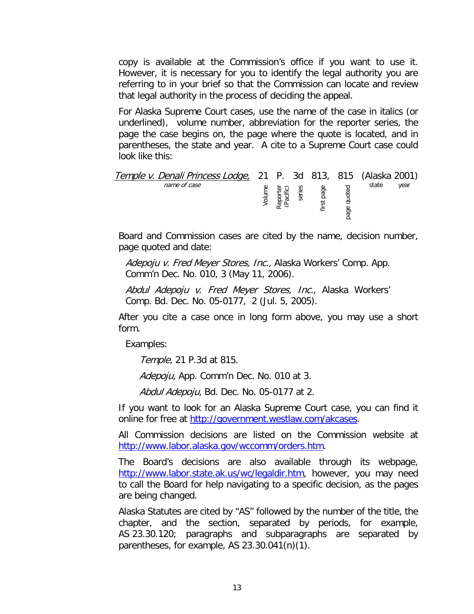copy is available at the Commission's office if you want to use it. However, it is necessary for you to identify the legal authority you are referring to in your brief so that the Commission can locate and review that legal authority in the process of deciding the appeal.

For Alaska Supreme Court cases, use the name of the case in italics (or underlined), volume number, abbreviation for the reporter series, the page the case begins on, the page where the quote is located, and in parentheses, the state and year. A cite to a Supreme Court case could look like this:

| <i>Temple v. Denali Princess Lodge,</i> 21 P. 3d 813, 815 (Alaska 2001) |   |   |           |         |       |      |
|-------------------------------------------------------------------------|---|---|-----------|---------|-------|------|
| name of case                                                            | ş | ق | page<br>5 | ී.<br>፳ | state | vear |

Board and Commission cases are cited by the name, decision number, page quoted and date:

Adepoju v. Fred Meyer Stores, Inc., Alaska Workers' Comp. App. Comm'n Dec. No. 010, 3 (May 11, 2006).

Abdul Adepoju v. Fred Meyer Stores, Inc., Alaska Workers' Comp. Bd. Dec. No. 05-0177, 2 (Jul. 5, 2005).

After you cite a case once in long form above, you may use a short form.

Examples:

Temple, 21 P.3d at 815.

Adepoju, App. Comm'n Dec. No. 010 at 3.

Abdul Adepoju, Bd. Dec. No. 05-0177 at 2.

If you want to look for an Alaska Supreme Court case, you can find it online for free at [http://government.westlaw.com/akcases.](http://government.westlaw.com/akcases)

All Commission decisions are listed on the Commission website at [http://www.labor.alaska.gov/wccomm/orders.htm.](http://www.labor.alaska.gov/wccomm/orders.htm)

The Board's decisions are also available through its webpage, [http://www.labor.state.ak.us/wc/legaldir.htm,](http://www.labor.state.ak.us/wc/legaldir.htm) however, you may need to call the Board for help navigating to a specific decision, as the pages are being changed.

Alaska Statutes are cited by "AS" followed by the number of the title, the chapter, and the section, separated by periods, for example, AS 23.30.120; paragraphs and subparagraphs are separated by parentheses, for example, AS 23.30.041(n)(1).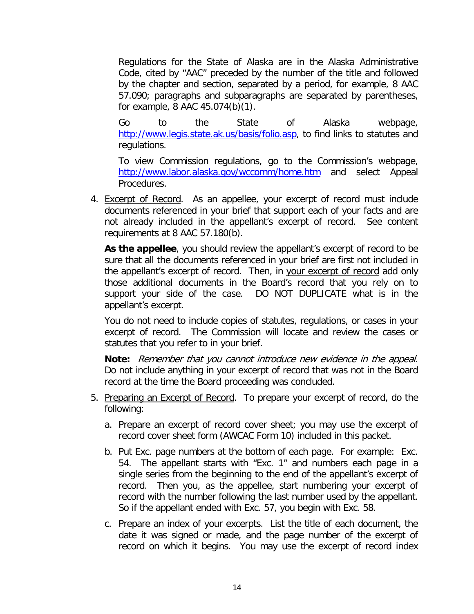Regulations for the State of Alaska are in the Alaska Administrative Code, cited by "AAC" preceded by the number of the title and followed by the chapter and section, separated by a period, for example, 8 AAC 57.090; paragraphs and subparagraphs are separated by parentheses, for example, 8 AAC 45.074(b)(1).

Go to the State of Alaska webpage, [http://www.legis.state.ak.us/basis/folio.asp,](http://www.legis.state.ak.us/basis/folio.asp) to find links to statutes and regulations.

To view Commission regulations, go to the Commission's webpage, <http://www.labor.alaska.gov/wccomm/home.htm> and select Appeal Procedures.

4. Excerpt of Record. As an appellee, your excerpt of record must include documents referenced in your brief that support each of your facts and are not already included in the appellant's excerpt of record. See content requirements at 8 AAC 57.180(b).

**As the appellee**, you should review the appellant's excerpt of record to be sure that all the documents referenced in your brief are first not included in the appellant's excerpt of record. Then, in your excerpt of record add only those additional documents in the Board's record that you rely on to support your side of the case. DO NOT DUPLICATE what is in the appellant's excerpt.

You do not need to include copies of statutes, regulations, or cases in your excerpt of record. The Commission will locate and review the cases or statutes that you refer to in your brief.

**Note:** Remember that you cannot introduce new evidence in the appeal. Do not include anything in your excerpt of record that was not in the Board record at the time the Board proceeding was concluded.

- 5. Preparing an Excerpt of Record. To prepare your excerpt of record, do the following:
	- a. Prepare an excerpt of record cover sheet; you may use the excerpt of record cover sheet form (AWCAC Form 10) included in this packet.
	- b. Put Exc. page numbers at the bottom of each page. For example: Exc. 54. The appellant starts with "Exc. 1" and numbers each page in a single series from the beginning to the end of the appellant's excerpt of record. Then you, as the appellee, start numbering your excerpt of record with the number following the last number used by the appellant. So if the appellant ended with Exc. 57, you begin with Exc. 58.
	- c. Prepare an index of your excerpts. List the title of each document, the date it was signed or made, and the page number of the excerpt of record on which it begins. You may use the excerpt of record index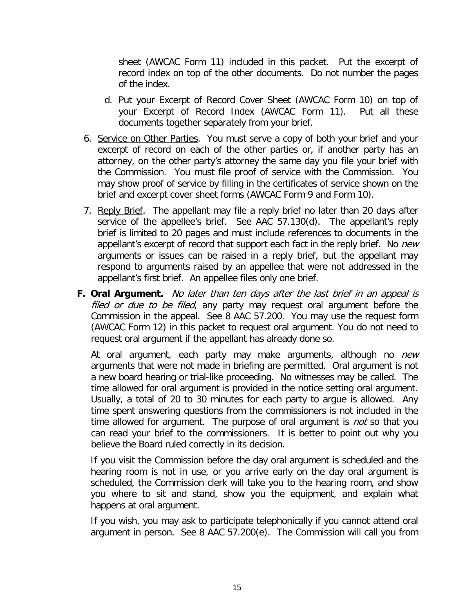sheet (AWCAC Form 11) included in this packet. Put the excerpt of record index on top of the other documents. Do not number the pages of the index.

- d. Put your Excerpt of Record Cover Sheet (AWCAC Form 10) on top of your Excerpt of Record Index (AWCAC Form 11). Put all these documents together separately from your brief.
- 6. Service on Other Parties. You must serve a copy of both your brief and your excerpt of record on each of the other parties or, if another party has an attorney, on the other party's attorney the same day you file your brief with the Commission. You must file proof of service with the Commission. You may show proof of service by filling in the certificates of service shown on the brief and excerpt cover sheet forms (AWCAC Form 9 and Form 10).
- 7. Reply Brief. The appellant may file a reply brief no later than 20 days after service of the appellee's brief. See AAC 57.130(d). The appellant's reply brief is limited to 20 pages and must include references to documents in the appellant's excerpt of record that support each fact in the reply brief. No new arguments or issues can be raised in a reply brief, but the appellant may respond to arguments raised by an appellee that were not addressed in the appellant's first brief. An appellee files only one brief.
- **F. Oral Argument.** No later than ten days after the last brief in an appeal is filed or due to be filed, any party may request oral argument before the Commission in the appeal. See 8 AAC 57.200. You may use the request form (AWCAC Form 12) in this packet to request oral argument. You do not need to request oral argument if the appellant has already done so.

At oral argument, each party may make arguments, although no *new* arguments that were not made in briefing are permitted. Oral argument is not a new board hearing or trial-like proceeding. No witnesses may be called. The time allowed for oral argument is provided in the notice setting oral argument. Usually, a total of 20 to 30 minutes for each party to argue is allowed. Any time spent answering questions from the commissioners is not included in the time allowed for argument. The purpose of oral argument is *not* so that you can read your brief to the commissioners. It is better to point out why you believe the Board ruled correctly in its decision.

If you visit the Commission before the day oral argument is scheduled and the hearing room is not in use, or you arrive early on the day oral argument is scheduled, the Commission clerk will take you to the hearing room, and show you where to sit and stand, show you the equipment, and explain what happens at oral argument.

If you wish, you may ask to participate telephonically if you cannot attend oral argument in person. See 8 AAC 57.200(e). The Commission will call you from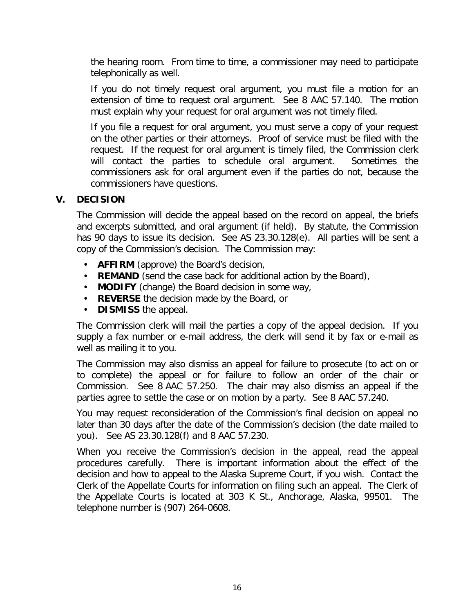the hearing room. From time to time, a commissioner may need to participate telephonically as well.

If you do not timely request oral argument, you must file a motion for an extension of time to request oral argument. See 8 AAC 57.140. The motion must explain why your request for oral argument was not timely filed.

If you file a request for oral argument, you must serve a copy of your request on the other parties or their attorneys. Proof of service must be filed with the request. If the request for oral argument is timely filed, the Commission clerk will contact the parties to schedule oral argument. Sometimes the commissioners ask for oral argument even if the parties do not, because the commissioners have questions.

#### **V. DECISION**

The Commission will decide the appeal based on the record on appeal, the briefs and excerpts submitted, and oral argument (if held). By statute, the Commission has 90 days to issue its decision. See AS 23.30.128(e). All parties will be sent a copy of the Commission's decision. The Commission may:

- **AFFIRM** (approve) the Board's decision,
- **REMAND** (send the case back for additional action by the Board),
- **MODIFY** (change) the Board decision in some way,
- **REVERSE** the decision made by the Board, or
- **DISMISS** the appeal.

The Commission clerk will mail the parties a copy of the appeal decision. If you supply a fax number or e-mail address, the clerk will send it by fax or e-mail as well as mailing it to you.

The Commission may also dismiss an appeal for failure to prosecute (to act on or to complete) the appeal or for failure to follow an order of the chair or Commission. See 8 AAC 57.250. The chair may also dismiss an appeal if the parties agree to settle the case or on motion by a party. See 8 AAC 57.240.

You may request reconsideration of the Commission's final decision on appeal no later than 30 days after the date of the Commission's decision (the date mailed to you). See AS 23.30.128(f) and 8 AAC 57.230.

When you receive the Commission's decision in the appeal, read the appeal procedures carefully. There is important information about the effect of the decision and how to appeal to the Alaska Supreme Court, if you wish. Contact the Clerk of the Appellate Courts for information on filing such an appeal. The Clerk of the Appellate Courts is located at 303 K St., Anchorage, Alaska, 99501. The telephone number is (907) 264-0608.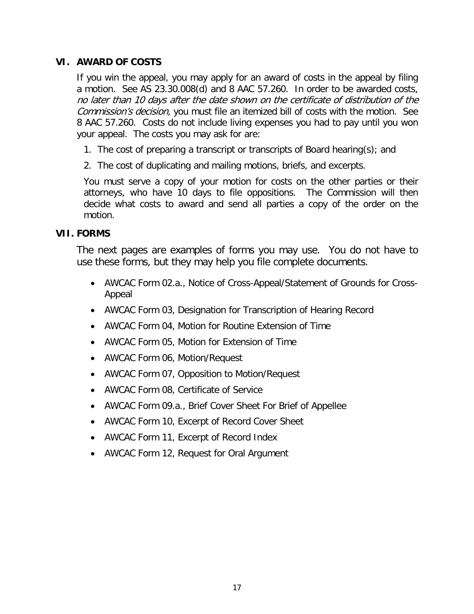#### **VI. AWARD OF COSTS**

If you win the appeal, you may apply for an award of costs in the appeal by filing a motion. See AS 23.30.008(d) and 8 AAC 57.260. In order to be awarded costs, no later than 10 days after the date shown on the certificate of distribution of the Commission's decision, you must file an itemized bill of costs with the motion. See 8 AAC 57.260. Costs do not include living expenses you had to pay until you won your appeal. The costs you may ask for are:

- 1. The cost of preparing a transcript or transcripts of Board hearing(s); and
- 2. The cost of duplicating and mailing motions, briefs, and excerpts.

You must serve a copy of your motion for costs on the other parties or their attorneys, who have 10 days to file oppositions. The Commission will then decide what costs to award and send all parties a copy of the order on the motion.

#### **VII. FORMS**

The next pages are examples of forms you may use. You do not have to use these forms, but they may help you file complete documents.

- AWCAC Form 02.a., Notice of Cross-Appeal/Statement of Grounds for Cross-Appeal
- AWCAC Form 03, Designation for Transcription of Hearing Record
- AWCAC Form 04, Motion for Routine Extension of Time
- AWCAC Form 05, Motion for Extension of Time
- AWCAC Form 06, Motion/Request
- AWCAC Form 07, Opposition to Motion/Request
- AWCAC Form 08, Certificate of Service
- AWCAC Form 09.a., Brief Cover Sheet For Brief of Appellee
- AWCAC Form 10, Excerpt of Record Cover Sheet
- AWCAC Form 11, Excerpt of Record Index
- AWCAC Form 12, Request for Oral Argument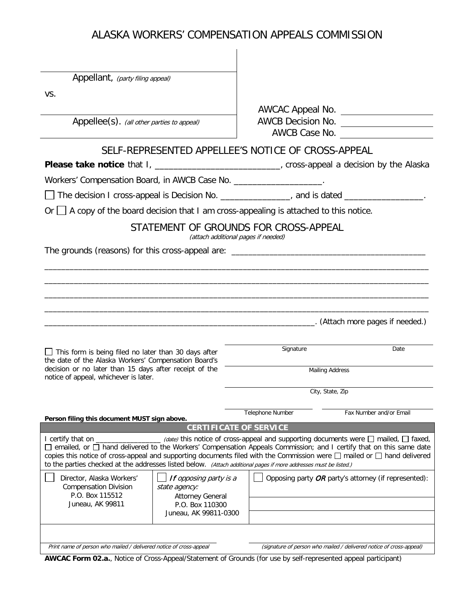| Appellant, (party filing appeal)                                                                                                                                                                                                             |                                     |                                                                                                        |
|----------------------------------------------------------------------------------------------------------------------------------------------------------------------------------------------------------------------------------------------|-------------------------------------|--------------------------------------------------------------------------------------------------------|
| VS.                                                                                                                                                                                                                                          |                                     |                                                                                                        |
|                                                                                                                                                                                                                                              |                                     | AWCAC Appeal No.                                                                                       |
| Appellee(s). (all other parties to appeal)                                                                                                                                                                                                   | AWCB Decision No.                   | AWCB Case No.                                                                                          |
| SELF-REPRESENTED APPELLEE'S NOTICE OF CROSS-APPEAL                                                                                                                                                                                           |                                     |                                                                                                        |
| Please take notice that I, ______________________________, cross-appeal a decision by the Alaska                                                                                                                                             |                                     |                                                                                                        |
| Workers' Compensation Board, in AWCB Case No. _____________________.                                                                                                                                                                         |                                     |                                                                                                        |
| The decision I cross-appeal is Decision No. ______________, and is dated _______________.                                                                                                                                                    |                                     |                                                                                                        |
| Or $\Box$ A copy of the board decision that I am cross-appealing is attached to this notice.                                                                                                                                                 |                                     |                                                                                                        |
| STATEMENT OF GROUNDS FOR CROSS-APPEAL                                                                                                                                                                                                        | (attach additional pages if needed) |                                                                                                        |
|                                                                                                                                                                                                                                              |                                     |                                                                                                        |
|                                                                                                                                                                                                                                              |                                     |                                                                                                        |
|                                                                                                                                                                                                                                              |                                     |                                                                                                        |
|                                                                                                                                                                                                                                              |                                     |                                                                                                        |
|                                                                                                                                                                                                                                              |                                     |                                                                                                        |
|                                                                                                                                                                                                                                              |                                     |                                                                                                        |
|                                                                                                                                                                                                                                              |                                     |                                                                                                        |
|                                                                                                                                                                                                                                              |                                     |                                                                                                        |
| $\Box$ This form is being filed no later than 30 days after                                                                                                                                                                                  | Signature                           | Date                                                                                                   |
| the date of the Alaska Workers' Compensation Board's                                                                                                                                                                                         |                                     |                                                                                                        |
| decision or no later than 15 days after receipt of the<br>notice of appeal, whichever is later.                                                                                                                                              |                                     | <b>Mailing Address</b>                                                                                 |
|                                                                                                                                                                                                                                              |                                     | City, State, Zip                                                                                       |
|                                                                                                                                                                                                                                              |                                     | Fax Number and/or Email                                                                                |
| Person filing this document MUST sign above.                                                                                                                                                                                                 | Telephone Number                    |                                                                                                        |
| I certify that on _                                                                                                                                                                                                                          | <b>CERTIFICATE OF SERVICE</b>       | $\equiv$ (date) this notice of cross-appeal and supporting documents were $\Box$ mailed, $\Box$ faxed, |
| □ emailed, or □ hand delivered to the Workers' Compensation Appeals Commission; and I certify that on this same date                                                                                                                         |                                     |                                                                                                        |
| copies this notice of cross-appeal and supporting documents filed with the Commission were □ mailed or □ hand delivered<br>to the parties checked at the addresses listed below. (Attach additional pages if more addresses must be listed.) |                                     |                                                                                                        |
| Director, Alaska Workers'<br>If opposing party is a<br><b>Compensation Division</b><br>state agency:                                                                                                                                         |                                     | Opposing party OR party's attorney (if represented):                                                   |
| P.O. Box 115512<br><b>Attorney General</b>                                                                                                                                                                                                   |                                     |                                                                                                        |
| Juneau, AK 99811<br>P.O. Box 110300<br>Juneau, AK 99811-0300                                                                                                                                                                                 |                                     |                                                                                                        |
|                                                                                                                                                                                                                                              |                                     |                                                                                                        |

**AWCAC Form 02.a.**, Notice of Cross-Appeal/Statement of Grounds (for use by self-represented appeal participant)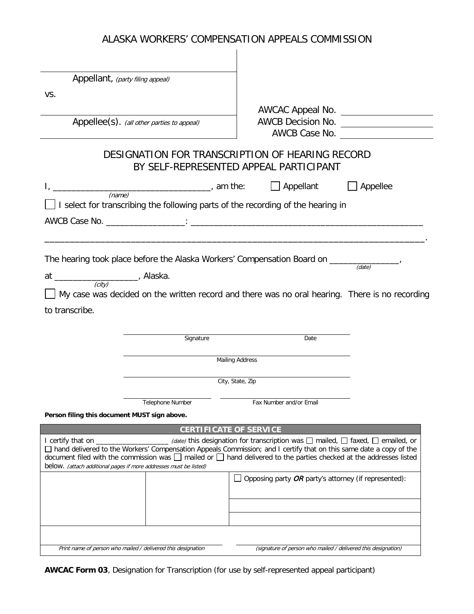à.

| Appellant, (party filing appeal)                                                                                                                                                                                                                                                                                                                                        |                                                                                               |                 |
|-------------------------------------------------------------------------------------------------------------------------------------------------------------------------------------------------------------------------------------------------------------------------------------------------------------------------------------------------------------------------|-----------------------------------------------------------------------------------------------|-----------------|
| VS.                                                                                                                                                                                                                                                                                                                                                                     |                                                                                               |                 |
|                                                                                                                                                                                                                                                                                                                                                                         | AWCAC Appeal No.                                                                              |                 |
| Appellee(s). (all other parties to appeal)                                                                                                                                                                                                                                                                                                                              | AWCB Decision No.                                                                             |                 |
|                                                                                                                                                                                                                                                                                                                                                                         |                                                                                               | AWCB Case No.   |
| DESIGNATION FOR TRANSCRIPTION OF HEARING RECORD                                                                                                                                                                                                                                                                                                                         | BY SELF-REPRESENTED APPEAL PARTICIPANT                                                        |                 |
| (name)                                                                                                                                                                                                                                                                                                                                                                  | $\Box$ Appellant                                                                              | $\Box$ Appellee |
| $\Box$ I select for transcribing the following parts of the recording of the hearing in                                                                                                                                                                                                                                                                                 |                                                                                               |                 |
|                                                                                                                                                                                                                                                                                                                                                                         |                                                                                               |                 |
|                                                                                                                                                                                                                                                                                                                                                                         |                                                                                               |                 |
|                                                                                                                                                                                                                                                                                                                                                                         |                                                                                               |                 |
| The hearing took place before the Alaska Workers' Compensation Board on _____                                                                                                                                                                                                                                                                                           |                                                                                               | (date)          |
| (city)                                                                                                                                                                                                                                                                                                                                                                  |                                                                                               |                 |
| My case was decided on the written record and there was no oral hearing. There is no recording                                                                                                                                                                                                                                                                          |                                                                                               |                 |
| to transcribe.                                                                                                                                                                                                                                                                                                                                                          |                                                                                               |                 |
|                                                                                                                                                                                                                                                                                                                                                                         |                                                                                               |                 |
| Signature                                                                                                                                                                                                                                                                                                                                                               | Date                                                                                          |                 |
|                                                                                                                                                                                                                                                                                                                                                                         | <b>Mailing Address</b>                                                                        |                 |
|                                                                                                                                                                                                                                                                                                                                                                         | City, State, Zip                                                                              |                 |
|                                                                                                                                                                                                                                                                                                                                                                         |                                                                                               |                 |
| <b>Telephone Number</b>                                                                                                                                                                                                                                                                                                                                                 | Fax Number and/or Email                                                                       |                 |
| Person filing this document MUST sign above.                                                                                                                                                                                                                                                                                                                            |                                                                                               |                 |
| <b>CERTIFICATE OF SERVICE</b>                                                                                                                                                                                                                                                                                                                                           |                                                                                               |                 |
| I certify that on $\overline{\phantom{a}}$<br>□ hand delivered to the Workers' Compensation Appeals Commission; and I certify that on this same date a copy of the<br>document filed with the commission was $\Box$ mailed or $\Box$ hand delivered to the parties checked at the addresses listed<br>below. (attach additional pages if more addresses must be listed) | (date) this designation for transcription was $\Box$ mailed, $\Box$ faxed, $\Box$ emailed, or |                 |
|                                                                                                                                                                                                                                                                                                                                                                         | Opposing party $OR$ party's attorney (if represented):                                        |                 |
|                                                                                                                                                                                                                                                                                                                                                                         |                                                                                               |                 |
|                                                                                                                                                                                                                                                                                                                                                                         |                                                                                               |                 |
|                                                                                                                                                                                                                                                                                                                                                                         |                                                                                               |                 |
|                                                                                                                                                                                                                                                                                                                                                                         |                                                                                               |                 |
| Print name of person who mailed / delivered this designation                                                                                                                                                                                                                                                                                                            | (signature of person who mailed / delivered this designation)                                 |                 |

**AWCAC Form 03**, Designation for Transcription (for use by self-represented appeal participant)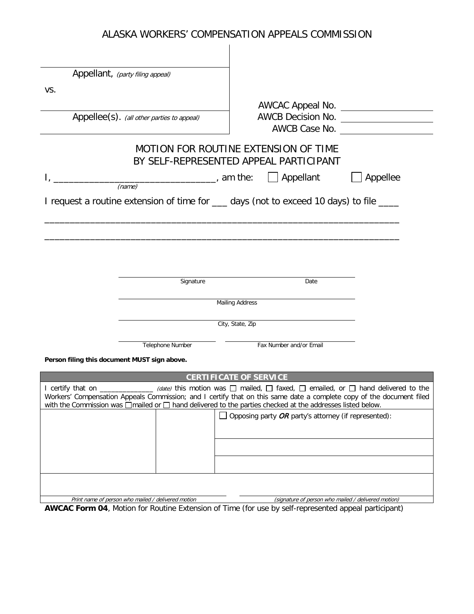| Appellee(s). (all other parties to appeal) |                                                                                                                             | AWCB Decision No. _____________________                                                                                                                                                                                                                                                                                                                                                                                                                                                                                                                                                                                                                                                                            |
|--------------------------------------------|-----------------------------------------------------------------------------------------------------------------------------|--------------------------------------------------------------------------------------------------------------------------------------------------------------------------------------------------------------------------------------------------------------------------------------------------------------------------------------------------------------------------------------------------------------------------------------------------------------------------------------------------------------------------------------------------------------------------------------------------------------------------------------------------------------------------------------------------------------------|
|                                            |                                                                                                                             | AWCB Case No.                                                                                                                                                                                                                                                                                                                                                                                                                                                                                                                                                                                                                                                                                                      |
|                                            |                                                                                                                             |                                                                                                                                                                                                                                                                                                                                                                                                                                                                                                                                                                                                                                                                                                                    |
|                                            | $\Box$ Appellant                                                                                                            | Appellee                                                                                                                                                                                                                                                                                                                                                                                                                                                                                                                                                                                                                                                                                                           |
|                                            |                                                                                                                             |                                                                                                                                                                                                                                                                                                                                                                                                                                                                                                                                                                                                                                                                                                                    |
|                                            |                                                                                                                             |                                                                                                                                                                                                                                                                                                                                                                                                                                                                                                                                                                                                                                                                                                                    |
|                                            |                                                                                                                             |                                                                                                                                                                                                                                                                                                                                                                                                                                                                                                                                                                                                                                                                                                                    |
|                                            |                                                                                                                             |                                                                                                                                                                                                                                                                                                                                                                                                                                                                                                                                                                                                                                                                                                                    |
|                                            |                                                                                                                             |                                                                                                                                                                                                                                                                                                                                                                                                                                                                                                                                                                                                                                                                                                                    |
|                                            |                                                                                                                             |                                                                                                                                                                                                                                                                                                                                                                                                                                                                                                                                                                                                                                                                                                                    |
|                                            |                                                                                                                             |                                                                                                                                                                                                                                                                                                                                                                                                                                                                                                                                                                                                                                                                                                                    |
|                                            |                                                                                                                             |                                                                                                                                                                                                                                                                                                                                                                                                                                                                                                                                                                                                                                                                                                                    |
|                                            |                                                                                                                             |                                                                                                                                                                                                                                                                                                                                                                                                                                                                                                                                                                                                                                                                                                                    |
|                                            |                                                                                                                             |                                                                                                                                                                                                                                                                                                                                                                                                                                                                                                                                                                                                                                                                                                                    |
|                                            |                                                                                                                             |                                                                                                                                                                                                                                                                                                                                                                                                                                                                                                                                                                                                                                                                                                                    |
|                                            |                                                                                                                             |                                                                                                                                                                                                                                                                                                                                                                                                                                                                                                                                                                                                                                                                                                                    |
|                                            |                                                                                                                             |                                                                                                                                                                                                                                                                                                                                                                                                                                                                                                                                                                                                                                                                                                                    |
|                                            |                                                                                                                             |                                                                                                                                                                                                                                                                                                                                                                                                                                                                                                                                                                                                                                                                                                                    |
|                                            | $\Box$ Opposing party OR party's attorney (if represented):                                                                 |                                                                                                                                                                                                                                                                                                                                                                                                                                                                                                                                                                                                                                                                                                                    |
|                                            |                                                                                                                             |                                                                                                                                                                                                                                                                                                                                                                                                                                                                                                                                                                                                                                                                                                                    |
|                                            |                                                                                                                             |                                                                                                                                                                                                                                                                                                                                                                                                                                                                                                                                                                                                                                                                                                                    |
|                                            |                                                                                                                             |                                                                                                                                                                                                                                                                                                                                                                                                                                                                                                                                                                                                                                                                                                                    |
|                                            |                                                                                                                             |                                                                                                                                                                                                                                                                                                                                                                                                                                                                                                                                                                                                                                                                                                                    |
|                                            |                                                                                                                             |                                                                                                                                                                                                                                                                                                                                                                                                                                                                                                                                                                                                                                                                                                                    |
|                                            | Appellant, (party filing appeal)<br>(name)<br>Signature<br>Telephone Number<br>Person filing this document MUST sign above. | AWCAC Appeal No.<br>MOTION FOR ROUTINE EXTENSION OF TIME<br>BY SELF-REPRESENTED APPEAL PARTICIPANT<br><u>_________________________________</u> , am the:<br>I request a routine extension of time for ____ days (not to exceed 10 days) to file ____<br>Date<br><b>Mailing Address</b><br>City, State, Zip<br>Fax Number and/or Email<br><b>CERTIFICATE OF SERVICE</b><br>(date) this motion was $\Box$ mailed, $\Box$ faxed, $\Box$ emailed, or $\Box$ hand delivered to the<br>Workers' Compensation Appeals Commission; and I certify that on this same date a complete copy of the document filed<br>with the Commission was □mailed or □ hand delivered to the parties checked at the addresses listed below. |

**AWCAC Form 04**, Motion for Routine Extension of Time (for use by self-represented appeal participant)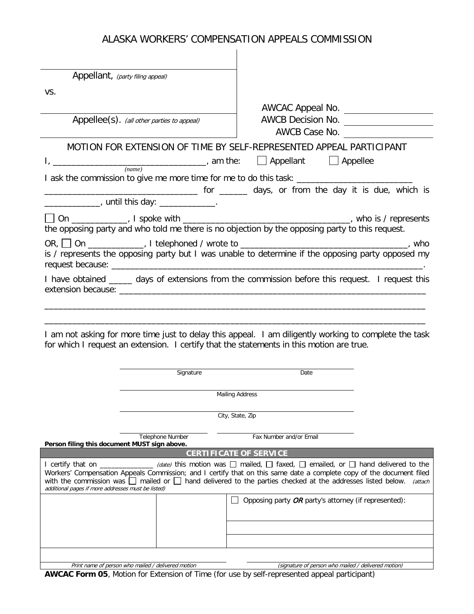| Appellant, (party filing appeal)                                                         |                        |                                                                                                                                                                                                                                                              |
|------------------------------------------------------------------------------------------|------------------------|--------------------------------------------------------------------------------------------------------------------------------------------------------------------------------------------------------------------------------------------------------------|
| VS.                                                                                      |                        |                                                                                                                                                                                                                                                              |
|                                                                                          |                        |                                                                                                                                                                                                                                                              |
| Appellee(s). (all other parties to appeal)                                               |                        | AWCB Decision No.                                                                                                                                                                                                                                            |
|                                                                                          |                        | AWCB Case No.                                                                                                                                                                                                                                                |
|                                                                                          |                        |                                                                                                                                                                                                                                                              |
|                                                                                          |                        | MOTION FOR EXTENSION OF TIME BY SELF-REPRESENTED APPEAL PARTICIPANT                                                                                                                                                                                          |
| (name)                                                                                   |                        | $\Box$ Appellee                                                                                                                                                                                                                                              |
|                                                                                          |                        |                                                                                                                                                                                                                                                              |
|                                                                                          |                        | days, or from the day it is due, which is some measure that the contract of the contract of the case of the contract of the contract of the contract of the contract of the contract of the contract of the contract of the co                               |
| _______________, until this day: _______________.                                        |                        |                                                                                                                                                                                                                                                              |
|                                                                                          |                        |                                                                                                                                                                                                                                                              |
|                                                                                          |                        | the opposing party and who told me there is no objection by the opposing party to this request.                                                                                                                                                              |
|                                                                                          |                        |                                                                                                                                                                                                                                                              |
|                                                                                          |                        | is / represents the opposing party but I was unable to determine if the opposing party opposed my                                                                                                                                                            |
|                                                                                          |                        |                                                                                                                                                                                                                                                              |
|                                                                                          |                        | I have obtained _____ days of extensions from the commission before this request. I request this                                                                                                                                                             |
|                                                                                          |                        |                                                                                                                                                                                                                                                              |
|                                                                                          |                        |                                                                                                                                                                                                                                                              |
|                                                                                          |                        |                                                                                                                                                                                                                                                              |
|                                                                                          |                        | I am not asking for more time just to delay this appeal. I am diligently working to complete the task                                                                                                                                                        |
| for which I request an extension. I certify that the statements in this motion are true. |                        |                                                                                                                                                                                                                                                              |
|                                                                                          |                        |                                                                                                                                                                                                                                                              |
|                                                                                          | Signature              | Date                                                                                                                                                                                                                                                         |
|                                                                                          |                        |                                                                                                                                                                                                                                                              |
|                                                                                          | <b>Mailing Address</b> |                                                                                                                                                                                                                                                              |
|                                                                                          |                        |                                                                                                                                                                                                                                                              |
|                                                                                          |                        | City, State, Zip                                                                                                                                                                                                                                             |
|                                                                                          |                        |                                                                                                                                                                                                                                                              |
| Telephone Number<br>Person filing this document MUST sign above.                         |                        | Fax Number and/or Email                                                                                                                                                                                                                                      |
|                                                                                          |                        | <b>CERTIFICATE OF SERVICE</b>                                                                                                                                                                                                                                |
|                                                                                          |                        | I certify that on ______________ (date) this motion was $\Box$ mailed, $\Box$ faxed, $\Box$ emailed, or $\Box$ hand delivered to the<br>Workers' Compensation Appeals Commission; and I certify that on this same date a complete copy of the document filed |
|                                                                                          |                        | with the commission was $\Box$ mailed or $\Box$ hand delivered to the parties checked at the addresses listed below.<br>(attach                                                                                                                              |
| additional pages if more addresses must be listed)                                       |                        |                                                                                                                                                                                                                                                              |
|                                                                                          |                        | Opposing party OR party's attorney (if represented):                                                                                                                                                                                                         |
|                                                                                          |                        |                                                                                                                                                                                                                                                              |
|                                                                                          |                        |                                                                                                                                                                                                                                                              |
|                                                                                          |                        |                                                                                                                                                                                                                                                              |
|                                                                                          |                        |                                                                                                                                                                                                                                                              |
| Print name of person who mailed / delivered motion                                       |                        | (signature of person who mailed / delivered motion)                                                                                                                                                                                                          |

**AWCAC Form 05**, Motion for Extension of Time (for use by self-represented appeal participant)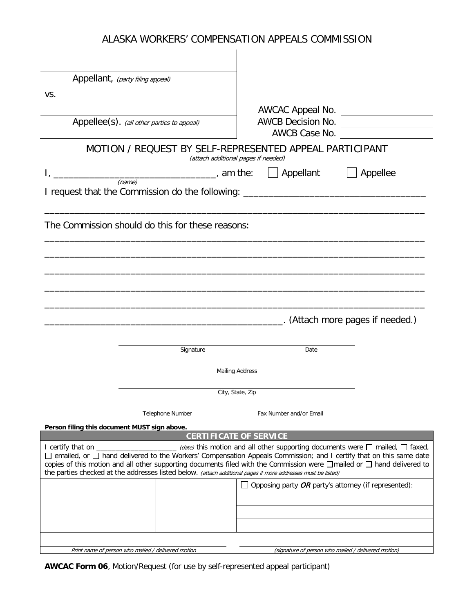| Appellant, (party filing appeal)                                                                                                                            |                                                                                                                                                                                                                                                                                                                                           |
|-------------------------------------------------------------------------------------------------------------------------------------------------------------|-------------------------------------------------------------------------------------------------------------------------------------------------------------------------------------------------------------------------------------------------------------------------------------------------------------------------------------------|
| VS.                                                                                                                                                         |                                                                                                                                                                                                                                                                                                                                           |
|                                                                                                                                                             | AWCAC Appeal No.                                                                                                                                                                                                                                                                                                                          |
| Appellee(s). (all other parties to appeal)                                                                                                                  | AWCB Case No.                                                                                                                                                                                                                                                                                                                             |
|                                                                                                                                                             | MOTION / REQUEST BY SELF-REPRESENTED APPEAL PARTICIPANT<br>(attach additional pages if needed)                                                                                                                                                                                                                                            |
|                                                                                                                                                             | $\Box$ Appellant<br>$\Box$ Appellee                                                                                                                                                                                                                                                                                                       |
| (name)<br>I request that the Commission do the following: ________________________________                                                                  |                                                                                                                                                                                                                                                                                                                                           |
| The Commission should do this for these reasons:                                                                                                            |                                                                                                                                                                                                                                                                                                                                           |
|                                                                                                                                                             |                                                                                                                                                                                                                                                                                                                                           |
|                                                                                                                                                             |                                                                                                                                                                                                                                                                                                                                           |
|                                                                                                                                                             |                                                                                                                                                                                                                                                                                                                                           |
|                                                                                                                                                             |                                                                                                                                                                                                                                                                                                                                           |
|                                                                                                                                                             |                                                                                                                                                                                                                                                                                                                                           |
|                                                                                                                                                             | (Attach more pages if needed.)                                                                                                                                                                                                                                                                                                            |
|                                                                                                                                                             |                                                                                                                                                                                                                                                                                                                                           |
| Signature                                                                                                                                                   | Date                                                                                                                                                                                                                                                                                                                                      |
|                                                                                                                                                             | <b>Mailing Address</b>                                                                                                                                                                                                                                                                                                                    |
|                                                                                                                                                             | City, State, Zip                                                                                                                                                                                                                                                                                                                          |
|                                                                                                                                                             |                                                                                                                                                                                                                                                                                                                                           |
| <b>Telephone Number</b>                                                                                                                                     | Fax Number and/or Email                                                                                                                                                                                                                                                                                                                   |
| Person filing this document MUST sign above.                                                                                                                | <b>CERTIFICATE OF SERVICE</b>                                                                                                                                                                                                                                                                                                             |
| I certify that on $\overline{\phantom{a}}$<br>the parties checked at the addresses listed below. (attach additional pages if more addresses must be listed) | (date) this motion and all other supporting documents were $\Box$ mailed, $\Box$ faxed,<br>□ emailed, or □ hand delivered to the Workers' Compensation Appeals Commission; and I certify that on this same date<br>copies of this motion and all other supporting documents filed with the Commission were □mailed or □ hand delivered to |
|                                                                                                                                                             | Opposing party OR party's attorney (if represented):                                                                                                                                                                                                                                                                                      |
|                                                                                                                                                             |                                                                                                                                                                                                                                                                                                                                           |
|                                                                                                                                                             |                                                                                                                                                                                                                                                                                                                                           |
|                                                                                                                                                             |                                                                                                                                                                                                                                                                                                                                           |
|                                                                                                                                                             |                                                                                                                                                                                                                                                                                                                                           |
|                                                                                                                                                             |                                                                                                                                                                                                                                                                                                                                           |

**AWCAC Form 06**, Motion/Request (for use by self-represented appeal participant)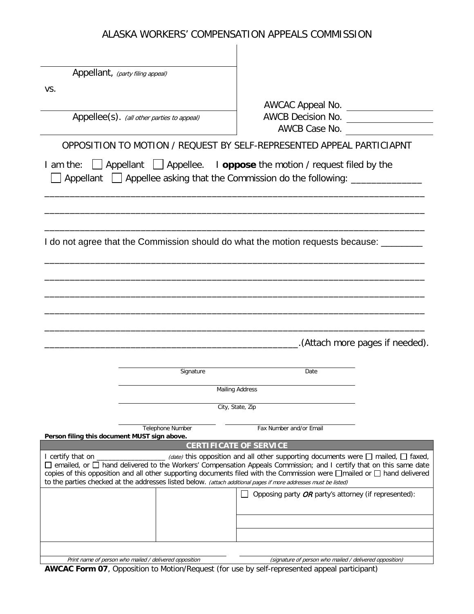|                                              | Appellant, (party filing appeal)                                                                                 |                                                                                                                                                                                                                                                                                                                                                       |
|----------------------------------------------|------------------------------------------------------------------------------------------------------------------|-------------------------------------------------------------------------------------------------------------------------------------------------------------------------------------------------------------------------------------------------------------------------------------------------------------------------------------------------------|
| VS.                                          |                                                                                                                  |                                                                                                                                                                                                                                                                                                                                                       |
|                                              |                                                                                                                  |                                                                                                                                                                                                                                                                                                                                                       |
|                                              | Appellee(s). (all other parties to appeal)                                                                       | AWCB Case No.                                                                                                                                                                                                                                                                                                                                         |
|                                              |                                                                                                                  | OPPOSITION TO MOTION / REQUEST BY SELF-REPRESENTED APPEAL PARTICIAPNT                                                                                                                                                                                                                                                                                 |
|                                              |                                                                                                                  | I am the: $\Box$ Appellant $\Box$ Appellee. I <b>oppose</b> the motion / request filed by the<br>Appellant   Appellee asking that the Commission do the following: ______________                                                                                                                                                                     |
|                                              |                                                                                                                  |                                                                                                                                                                                                                                                                                                                                                       |
|                                              |                                                                                                                  | I do not agree that the Commission should do what the motion requests because: _______                                                                                                                                                                                                                                                                |
|                                              |                                                                                                                  |                                                                                                                                                                                                                                                                                                                                                       |
|                                              |                                                                                                                  |                                                                                                                                                                                                                                                                                                                                                       |
|                                              |                                                                                                                  |                                                                                                                                                                                                                                                                                                                                                       |
|                                              |                                                                                                                  |                                                                                                                                                                                                                                                                                                                                                       |
|                                              |                                                                                                                  |                                                                                                                                                                                                                                                                                                                                                       |
|                                              |                                                                                                                  | .(Attach more pages if needed).                                                                                                                                                                                                                                                                                                                       |
|                                              | Signature                                                                                                        | Date                                                                                                                                                                                                                                                                                                                                                  |
|                                              |                                                                                                                  | <b>Mailing Address</b>                                                                                                                                                                                                                                                                                                                                |
|                                              |                                                                                                                  | City, State, Zip                                                                                                                                                                                                                                                                                                                                      |
|                                              | Telephone Number                                                                                                 | Fax Number and/or Email                                                                                                                                                                                                                                                                                                                               |
| Person filing this document MUST sign above. |                                                                                                                  | <b>CERTIFICATE OF SERVICE</b>                                                                                                                                                                                                                                                                                                                         |
| I certify that on _                          | to the parties checked at the addresses listed below. (attach additional pages if more addresses must be listed) | $\Box$ (date) this opposition and all other supporting documents were $\Box$ mailed, $\Box$ faxed,<br>□ emailed, or □ hand delivered to the Workers' Compensation Appeals Commission; and I certify that on this same date<br>copies of this opposition and all other supporting documents filed with the Commission were □mailed or □ hand delivered |
|                                              |                                                                                                                  | Opposing party OR party's attorney (if represented):                                                                                                                                                                                                                                                                                                  |
|                                              |                                                                                                                  |                                                                                                                                                                                                                                                                                                                                                       |
|                                              |                                                                                                                  |                                                                                                                                                                                                                                                                                                                                                       |
|                                              |                                                                                                                  |                                                                                                                                                                                                                                                                                                                                                       |
|                                              | Print name of person who mailed / delivered opposition                                                           | (signature of person who mailed / delivered opposition)                                                                                                                                                                                                                                                                                               |

**AWCAC Form 07**, Opposition to Motion/Request (for use by self-represented appeal participant)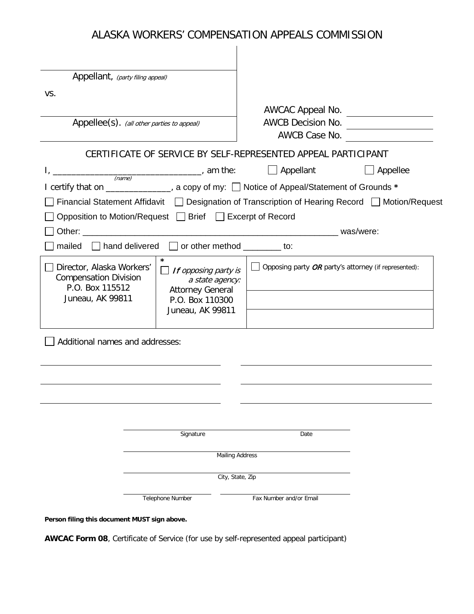| Appellant, (party filing appeal)                                                                   |                                                                                                                      |                                                                                                 |
|----------------------------------------------------------------------------------------------------|----------------------------------------------------------------------------------------------------------------------|-------------------------------------------------------------------------------------------------|
| VS.                                                                                                |                                                                                                                      |                                                                                                 |
|                                                                                                    |                                                                                                                      |                                                                                                 |
|                                                                                                    | Appellee(s). (all other parties to appeal)                                                                           | AWCB Decision No.<br>AWCB Case No.                                                              |
|                                                                                                    |                                                                                                                      | CERTIFICATE OF SERVICE BY SELF-REPRESENTED APPEAL PARTICIPANT                                   |
|                                                                                                    | $I, \underline{\hspace{2cm}}$ am the:                                                                                | $\Box$ Appellant<br>$\Box$ Appellee                                                             |
|                                                                                                    |                                                                                                                      | I certify that on ______________, a copy of my: □ Notice of Appeal/Statement of Grounds *       |
|                                                                                                    |                                                                                                                      | Financial Statement Affidavit   Designation of Transcription of Hearing Record   Motion/Request |
|                                                                                                    | Opposition to Motion/Request □ Brief □ Excerpt of Record                                                             |                                                                                                 |
|                                                                                                    |                                                                                                                      |                                                                                                 |
|                                                                                                    | mailed $\Box$ hand delivered $\Box$ or other method ________ to:                                                     |                                                                                                 |
| □ Director, Alaska Workers'<br><b>Compensation Division</b><br>P.O. Box 115512<br>Juneau, AK 99811 | $\star$<br>If opposing party is<br>a state agency:<br><b>Attorney General</b><br>P.O. Box 110300<br>Juneau, AK 99811 | Opposing party OR party's attorney (if represented):                                            |
| Additional names and addresses:                                                                    |                                                                                                                      |                                                                                                 |
|                                                                                                    |                                                                                                                      |                                                                                                 |
|                                                                                                    |                                                                                                                      |                                                                                                 |
|                                                                                                    |                                                                                                                      |                                                                                                 |
|                                                                                                    |                                                                                                                      |                                                                                                 |
|                                                                                                    | Signature                                                                                                            | Date                                                                                            |
|                                                                                                    |                                                                                                                      | <b>Mailing Address</b>                                                                          |
|                                                                                                    |                                                                                                                      | City, State, Zip                                                                                |
|                                                                                                    | Telephone Number                                                                                                     | Fax Number and/or Email                                                                         |

**Person filing this document MUST sign above.**

**AWCAC Form 08**, Certificate of Service (for use by self-represented appeal participant)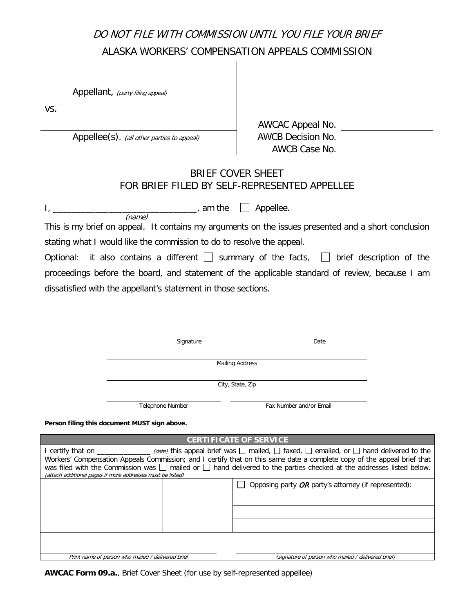# DO NOT FILE WITH COMMISSION UNTIL YOU FILE YOUR BRIEF ALASKA WORKERS' COMPENSATION APPEALS COMMISSION

Appellant, (party filing appeal)

vs.

AWCAC Appeal No. Appellee(s). (all other parties to appeal)  $\overline{\phantom{a}}$  AWCB Decision No. AWCB Case No.

# BRIEF COVER SHEET FOR BRIEF FILED BY SELF-REPRESENTED APPELLEE

 $I_{\iota}$   $\Box$  Appellee. (name)

This is my brief on appeal. It contains my arguments on the issues presented and a short conclusion stating what I would like the commission to do to resolve the appeal.

Optional: it also contains a different  $\Box$  summary of the facts,  $\Box$  brief description of the proceedings before the board, and statement of the applicable standard of review, because I am dissatisfied with the appellant's statement in those sections.

Signature Date

Mailing Address

City, State, Zip

Telephone Number **Fax Number and/or Email** 

**Person filing this document MUST sign above.**

**CERTIFICATE OF SERVICE**

| I certify that on _____________ (date) this appeal brief was $\Box$ mailed, $\Box$ faxed, $\Box$ emailed, or $\Box$ hand delivered to the<br>Workers' Compensation Appeals Commission; and I certify that on this same date a complete copy of the appeal brief that<br>was filed with the Commission was $\Box$ mailed or $\Box$ hand delivered to the parties checked at the addresses listed below.<br>(attach additional pages if more addresses must be listed) |  |                                                        |  |  |  |
|----------------------------------------------------------------------------------------------------------------------------------------------------------------------------------------------------------------------------------------------------------------------------------------------------------------------------------------------------------------------------------------------------------------------------------------------------------------------|--|--------------------------------------------------------|--|--|--|
|                                                                                                                                                                                                                                                                                                                                                                                                                                                                      |  | Opposing party $OR$ party's attorney (if represented): |  |  |  |
|                                                                                                                                                                                                                                                                                                                                                                                                                                                                      |  |                                                        |  |  |  |
|                                                                                                                                                                                                                                                                                                                                                                                                                                                                      |  |                                                        |  |  |  |
|                                                                                                                                                                                                                                                                                                                                                                                                                                                                      |  |                                                        |  |  |  |
| Print name of person who mailed / delivered brief                                                                                                                                                                                                                                                                                                                                                                                                                    |  | (signature of person who mailed / delivered brief)     |  |  |  |

**AWCAC Form 09.a.**, Brief Cover Sheet (for use by self-represented appellee)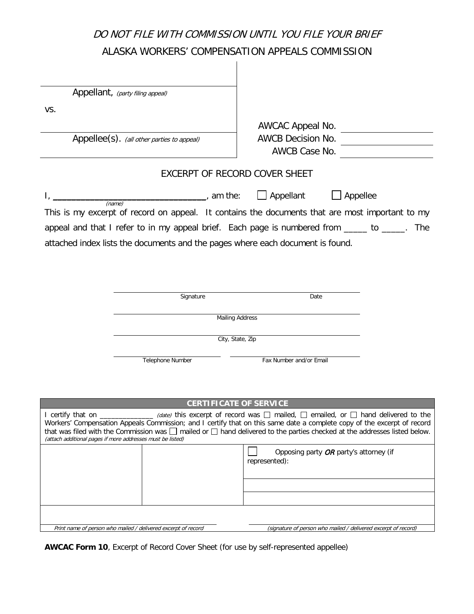# DO NOT FILE WITH COMMISSION UNTIL YOU FILE YOUR BRIEF ALASKA WORKERS' COMPENSATION APPEALS COMMISSION

|                                                            | Appellant, (party filing appeal)                              |                                                                                                                                                                                                                                                                                                                                                                                                                              |
|------------------------------------------------------------|---------------------------------------------------------------|------------------------------------------------------------------------------------------------------------------------------------------------------------------------------------------------------------------------------------------------------------------------------------------------------------------------------------------------------------------------------------------------------------------------------|
| VS.                                                        |                                                               |                                                                                                                                                                                                                                                                                                                                                                                                                              |
|                                                            |                                                               | AWCAC Appeal No.                                                                                                                                                                                                                                                                                                                                                                                                             |
|                                                            | Appellee(s). (all other parties to appeal)                    | AWCB Decision No.                                                                                                                                                                                                                                                                                                                                                                                                            |
|                                                            |                                                               | AWCB Case No.                                                                                                                                                                                                                                                                                                                                                                                                                |
|                                                            |                                                               | EXCERPT OF RECORD COVER SHEET                                                                                                                                                                                                                                                                                                                                                                                                |
|                                                            | $\frac{1}{2}$ am the:                                         | Appellant<br>Appellee                                                                                                                                                                                                                                                                                                                                                                                                        |
| (name)                                                     |                                                               | This is my excerpt of record on appeal. It contains the documents that are most important to my                                                                                                                                                                                                                                                                                                                              |
|                                                            |                                                               | appeal and that I refer to in my appeal brief. Each page is numbered from _____ to _____. The                                                                                                                                                                                                                                                                                                                                |
|                                                            |                                                               | attached index lists the documents and the pages where each document is found.                                                                                                                                                                                                                                                                                                                                               |
|                                                            |                                                               |                                                                                                                                                                                                                                                                                                                                                                                                                              |
|                                                            |                                                               |                                                                                                                                                                                                                                                                                                                                                                                                                              |
|                                                            | Signature                                                     | Date                                                                                                                                                                                                                                                                                                                                                                                                                         |
|                                                            |                                                               |                                                                                                                                                                                                                                                                                                                                                                                                                              |
|                                                            |                                                               | <b>Mailing Address</b>                                                                                                                                                                                                                                                                                                                                                                                                       |
|                                                            |                                                               | City, State, Zip                                                                                                                                                                                                                                                                                                                                                                                                             |
|                                                            | <b>Telephone Number</b>                                       | Fax Number and/or Email                                                                                                                                                                                                                                                                                                                                                                                                      |
|                                                            |                                                               |                                                                                                                                                                                                                                                                                                                                                                                                                              |
|                                                            |                                                               |                                                                                                                                                                                                                                                                                                                                                                                                                              |
|                                                            |                                                               | <b>CERTIFICATE OF SERVICE</b>                                                                                                                                                                                                                                                                                                                                                                                                |
| (attach additional pages if more addresses must be listed) |                                                               | I certify that on $\_\_\_\_\_\_\_\_\_\_\_$ (date) this excerpt of record was $\_\_\_\_\$ mailed, $\_\_\_\$ emailed, or $\_\_\$ hand delivered to the<br>Workers' Compensation Appeals Commission; and I certify that on this same date a complete copy of the excerpt of record<br>that was filed with the Commission was $\square$ mailed or $\square$ hand delivered to the parties checked at the addresses listed below. |
|                                                            |                                                               | Opposing party OR party's attorney (if<br>represented):                                                                                                                                                                                                                                                                                                                                                                      |
|                                                            |                                                               |                                                                                                                                                                                                                                                                                                                                                                                                                              |
|                                                            |                                                               |                                                                                                                                                                                                                                                                                                                                                                                                                              |
|                                                            |                                                               |                                                                                                                                                                                                                                                                                                                                                                                                                              |
|                                                            | Print name of person who mailed / delivered excerpt of record | (signature of person who mailed / delivered excerpt of record)                                                                                                                                                                                                                                                                                                                                                               |

**AWCAC Form 10**, Excerpt of Record Cover Sheet (for use by self-represented appellee)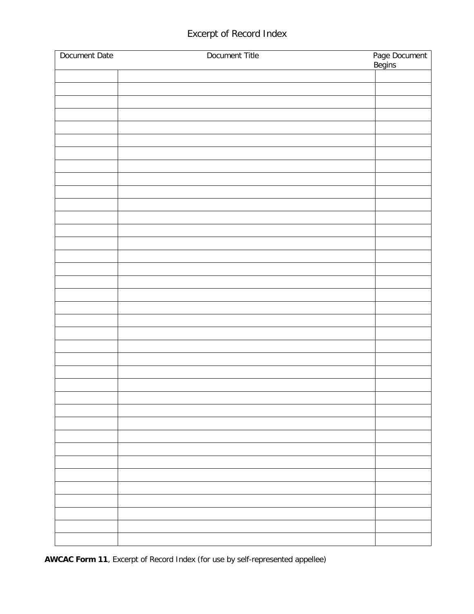# Excerpt of Record Index

| Document Date | Document Title | Page Document<br>Begins |
|---------------|----------------|-------------------------|
|               |                |                         |
|               |                |                         |
|               |                |                         |
|               |                |                         |
|               |                |                         |
|               |                |                         |
|               |                |                         |
|               |                |                         |
|               |                |                         |
|               |                |                         |
|               |                |                         |
|               |                |                         |
|               |                |                         |
|               |                |                         |
|               |                |                         |
|               |                |                         |
|               |                |                         |
|               |                |                         |
|               |                |                         |
|               |                |                         |
|               |                |                         |
|               |                |                         |
|               |                |                         |
|               |                |                         |
|               |                |                         |
|               |                |                         |
|               |                |                         |
|               |                |                         |
|               |                |                         |
|               |                |                         |
|               |                |                         |
|               |                |                         |
|               |                |                         |
|               |                |                         |
|               |                |                         |
|               |                |                         |
|               |                |                         |
|               |                |                         |

**AWCAC Form 11**, Excerpt of Record Index (for use by self-represented appellee)